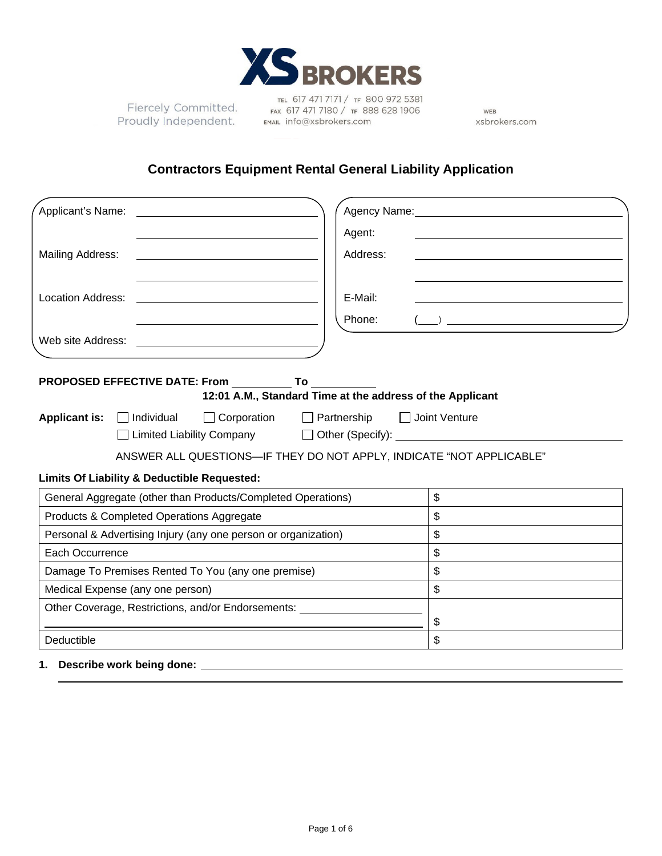

Fiercely Committed. Proudly Independent.

TEL 617 471 7171 / TF 800 972 5381 FAX 617 471 7180 / TF 888 628 1906 EMAIL info@xsbrokers.com

WEB xsbrokers.com

# **Contractors Equipment Rental General Liability Application**

| Applicant's Name: Letter Applicant the Manuscript of Applicant in the Manuscript of Applicant in the Manuscrip                                                                                                                                                                                                                                                                       | Agency Name: Name: Name and Agency Name and Agency Name and Agency Name and Agency Name and Agency Name and Agency Name and Agency Name and Agency Name and Agency Name and Agency Name and Agency Name and Agency Name and Ag |  |  |  |
|--------------------------------------------------------------------------------------------------------------------------------------------------------------------------------------------------------------------------------------------------------------------------------------------------------------------------------------------------------------------------------------|--------------------------------------------------------------------------------------------------------------------------------------------------------------------------------------------------------------------------------|--|--|--|
|                                                                                                                                                                                                                                                                                                                                                                                      | Agent:<br><u> 1980 - Jan Barat, prima politik a postali prima prima prima prima prima prima prima prima prima prima prima p</u>                                                                                                |  |  |  |
| Mailing Address:                                                                                                                                                                                                                                                                                                                                                                     | Address:                                                                                                                                                                                                                       |  |  |  |
| Location Address:                                                                                                                                                                                                                                                                                                                                                                    | E-Mail:<br>Phone:<br>$\qquad \qquad$ ) $\qquad \qquad$                                                                                                                                                                         |  |  |  |
| Web site Address:                                                                                                                                                                                                                                                                                                                                                                    |                                                                                                                                                                                                                                |  |  |  |
| <b>PROPOSED EFFECTIVE DATE: From To</b>                                                                                                                                                                                                                                                                                                                                              | 12:01 A.M., Standard Time at the address of the Applicant                                                                                                                                                                      |  |  |  |
| <b>Applicant is:</b><br>$\Box$ Corporation<br>$\Box$ Partnership<br>$\Box$ Joint Venture<br>$\Box$ Individual<br>□ Limited Liability Company<br>Other (Specify): <u>Container and Separate and Separate and Separate and Separate and Separate and Separate and Separate and Separate and Separate and Separate and Separate and Separate and Separate and Separate and Separate</u> |                                                                                                                                                                                                                                |  |  |  |
|                                                                                                                                                                                                                                                                                                                                                                                      | ANSWER ALL QUESTIONS-IF THEY DO NOT APPLY, INDICATE "NOT APPLICABLE"                                                                                                                                                           |  |  |  |
| Limits Of Liability & Deductible Requested:                                                                                                                                                                                                                                                                                                                                          |                                                                                                                                                                                                                                |  |  |  |
| General Aggregate (other than Products/Completed Operations)                                                                                                                                                                                                                                                                                                                         | \$                                                                                                                                                                                                                             |  |  |  |
| Products & Completed Operations Aggregate                                                                                                                                                                                                                                                                                                                                            | $\mathbb{S}$                                                                                                                                                                                                                   |  |  |  |
| Personal & Advertising Injury (any one person or organization)                                                                                                                                                                                                                                                                                                                       | \$                                                                                                                                                                                                                             |  |  |  |
| Each Occurrence                                                                                                                                                                                                                                                                                                                                                                      | \$                                                                                                                                                                                                                             |  |  |  |
| Damage To Premises Rented To You (any one premise)                                                                                                                                                                                                                                                                                                                                   | \$                                                                                                                                                                                                                             |  |  |  |
| Medical Expense (any one person)                                                                                                                                                                                                                                                                                                                                                     | $\mathbb S$                                                                                                                                                                                                                    |  |  |  |
| Other Coverage, Restrictions, and/or Endorsements: _____________________________                                                                                                                                                                                                                                                                                                     | \$                                                                                                                                                                                                                             |  |  |  |
| Deductible                                                                                                                                                                                                                                                                                                                                                                           | \$                                                                                                                                                                                                                             |  |  |  |
| Describe work being done: _                                                                                                                                                                                                                                                                                                                                                          |                                                                                                                                                                                                                                |  |  |  |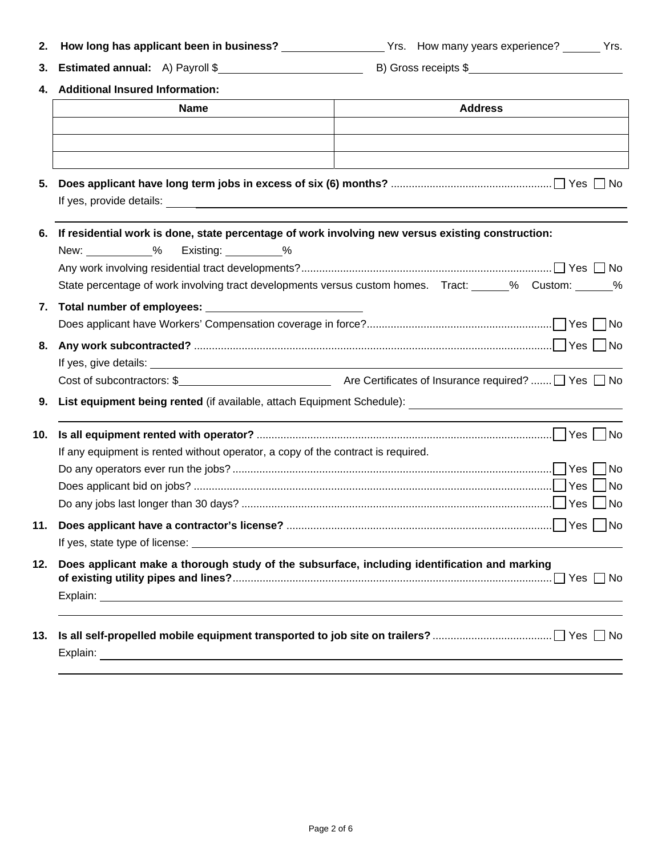| 2.  |                                                                                                                       | How long has applicant been in business? __________________Yrs. How many years experience? ______Yrs.   |  |  |
|-----|-----------------------------------------------------------------------------------------------------------------------|---------------------------------------------------------------------------------------------------------|--|--|
| 3.  |                                                                                                                       |                                                                                                         |  |  |
|     | 4. Additional Insured Information:                                                                                    |                                                                                                         |  |  |
|     | <b>Address</b><br><b>Name</b>                                                                                         |                                                                                                         |  |  |
|     |                                                                                                                       |                                                                                                         |  |  |
|     |                                                                                                                       |                                                                                                         |  |  |
|     |                                                                                                                       |                                                                                                         |  |  |
| 5.  |                                                                                                                       |                                                                                                         |  |  |
|     |                                                                                                                       |                                                                                                         |  |  |
|     | 6. If residential work is done, state percentage of work involving new versus existing construction:                  |                                                                                                         |  |  |
|     | New: <u>_______________%</u><br>Existing: __________%                                                                 |                                                                                                         |  |  |
|     |                                                                                                                       |                                                                                                         |  |  |
|     |                                                                                                                       | State percentage of work involving tract developments versus custom homes. Tract: _____% Custom: _____% |  |  |
|     |                                                                                                                       |                                                                                                         |  |  |
|     |                                                                                                                       |                                                                                                         |  |  |
| 8.  |                                                                                                                       |                                                                                                         |  |  |
|     |                                                                                                                       |                                                                                                         |  |  |
|     |                                                                                                                       |                                                                                                         |  |  |
| 9.  |                                                                                                                       |                                                                                                         |  |  |
| 10. |                                                                                                                       |                                                                                                         |  |  |
|     | If any equipment is rented without operator, a copy of the contract is required.                                      |                                                                                                         |  |  |
|     |                                                                                                                       |                                                                                                         |  |  |
|     |                                                                                                                       |                                                                                                         |  |  |
|     |                                                                                                                       |                                                                                                         |  |  |
|     |                                                                                                                       |                                                                                                         |  |  |
|     | If yes, state type of license: <u>experience and the state of the state of the state of the state of the state of</u> |                                                                                                         |  |  |
| 12. | Does applicant make a thorough study of the subsurface, including identification and marking                          |                                                                                                         |  |  |
|     |                                                                                                                       |                                                                                                         |  |  |
| 13. |                                                                                                                       |                                                                                                         |  |  |
|     |                                                                                                                       |                                                                                                         |  |  |
|     |                                                                                                                       |                                                                                                         |  |  |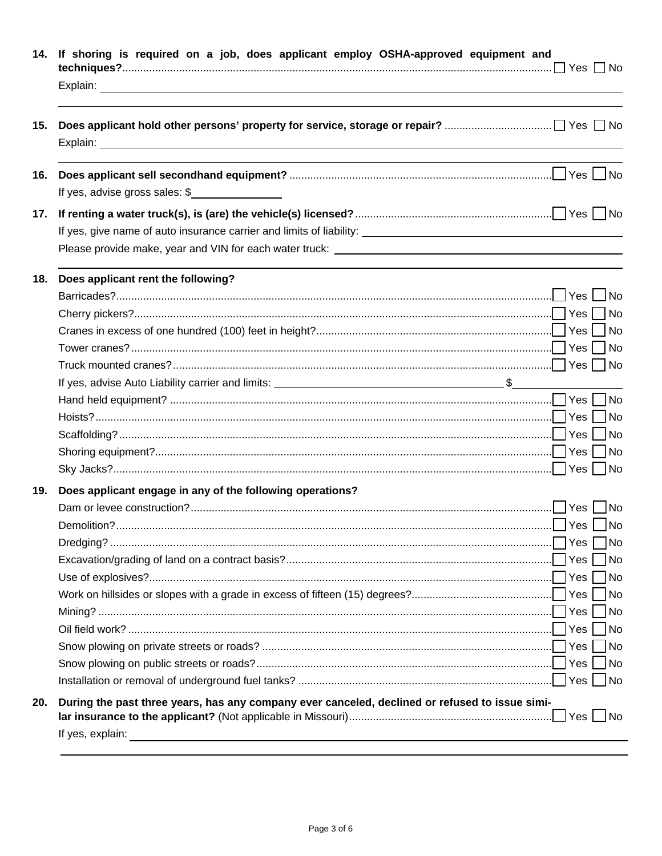| If yes, advise gross sales: $\frac{1}{2}$<br>Does applicant rent the following?<br>Does applicant engage in any of the following operations? |  |
|----------------------------------------------------------------------------------------------------------------------------------------------|--|
|                                                                                                                                              |  |
|                                                                                                                                              |  |
|                                                                                                                                              |  |
|                                                                                                                                              |  |
|                                                                                                                                              |  |
|                                                                                                                                              |  |
|                                                                                                                                              |  |
|                                                                                                                                              |  |
|                                                                                                                                              |  |
|                                                                                                                                              |  |
|                                                                                                                                              |  |
|                                                                                                                                              |  |
|                                                                                                                                              |  |
|                                                                                                                                              |  |
|                                                                                                                                              |  |
|                                                                                                                                              |  |
|                                                                                                                                              |  |
|                                                                                                                                              |  |
|                                                                                                                                              |  |
|                                                                                                                                              |  |
|                                                                                                                                              |  |
|                                                                                                                                              |  |
|                                                                                                                                              |  |
|                                                                                                                                              |  |
|                                                                                                                                              |  |
|                                                                                                                                              |  |
|                                                                                                                                              |  |
|                                                                                                                                              |  |
|                                                                                                                                              |  |
|                                                                                                                                              |  |
|                                                                                                                                              |  |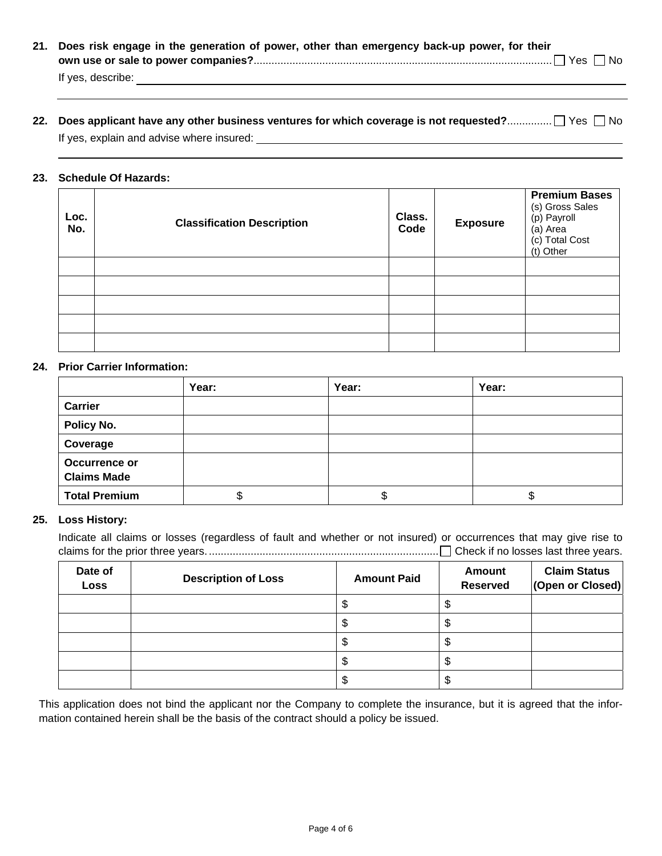**21. Does risk engage in the generation of power, other than emergency back-up power, for their own use or sale to power companies?**.................................................................................................... Yes No If yes, describe:

## **22. Does applicant have any other business ventures for which coverage is not requested?..................** Yes  $\Box$  No If yes, explain and advise where insured:

### **23. Schedule Of Hazards:**

| Loc.<br>No. | <b>Classification Description</b> | Class.<br>Code | <b>Exposure</b> | <b>Premium Bases</b><br>(s) Gross Sales<br>(p) Payroll<br>(a) Area<br>(c) Total Cost<br>(t) Other |
|-------------|-----------------------------------|----------------|-----------------|---------------------------------------------------------------------------------------------------|
|             |                                   |                |                 |                                                                                                   |
|             |                                   |                |                 |                                                                                                   |
|             |                                   |                |                 |                                                                                                   |
|             |                                   |                |                 |                                                                                                   |
|             |                                   |                |                 |                                                                                                   |

#### **24. Prior Carrier Information:**

|                                            | Year: | Year: | Year:  |
|--------------------------------------------|-------|-------|--------|
| <b>Carrier</b>                             |       |       |        |
| Policy No.                                 |       |       |        |
| Coverage                                   |       |       |        |
| <b>Occurrence or</b><br><b>Claims Made</b> |       |       |        |
| <b>Total Premium</b>                       | จ     |       | ጥ<br>ง |

### **25. Loss History:**

Indicate all claims or losses (regardless of fault and whether or not insured) or occurrences that may give rise to claims for the prior three years. ............................................................................. Check if no losses last three years.

| Date of<br><b>Loss</b> | <b>Description of Loss</b> | <b>Amount Paid</b> | <b>Amount</b><br><b>Reserved</b> | <b>Claim Status</b><br>(Open or Closed) |
|------------------------|----------------------------|--------------------|----------------------------------|-----------------------------------------|
|                        |                            |                    |                                  |                                         |
|                        |                            |                    |                                  |                                         |
|                        |                            |                    |                                  |                                         |
|                        |                            |                    |                                  |                                         |
|                        |                            | ۰IJ                | ъD                               |                                         |

This application does not bind the applicant nor the Company to complete the insurance, but it is agreed that the information contained herein shall be the basis of the contract should a policy be issued.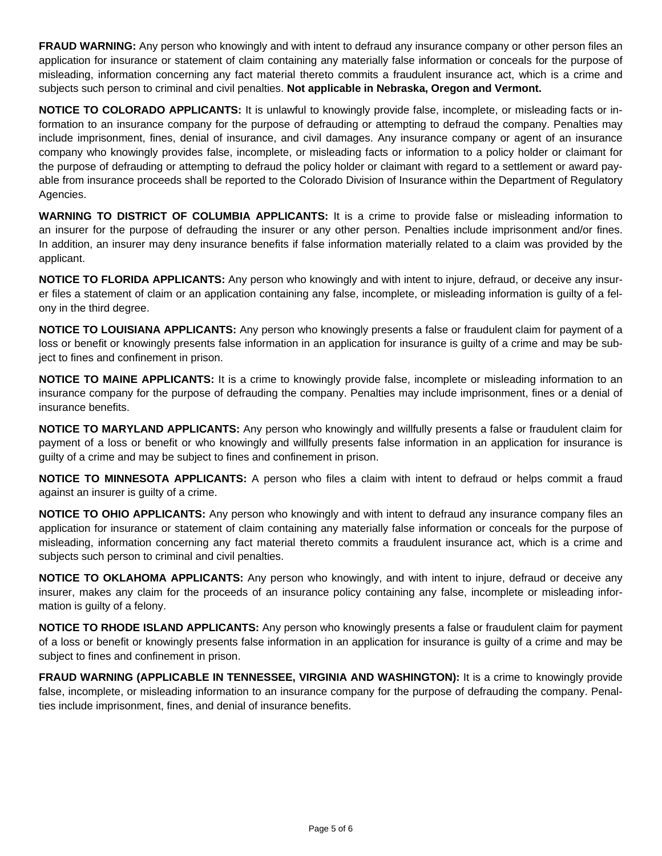**FRAUD WARNING:** Any person who knowingly and with intent to defraud any insurance company or other person files an application for insurance or statement of claim containing any materially false information or conceals for the purpose of misleading, information concerning any fact material thereto commits a fraudulent insurance act, which is a crime and subjects such person to criminal and civil penalties. **Not applicable in Nebraska, Oregon and Vermont.** 

**NOTICE TO COLORADO APPLICANTS:** It is unlawful to knowingly provide false, incomplete, or misleading facts or information to an insurance company for the purpose of defrauding or attempting to defraud the company. Penalties may include imprisonment, fines, denial of insurance, and civil damages. Any insurance company or agent of an insurance company who knowingly provides false, incomplete, or misleading facts or information to a policy holder or claimant for the purpose of defrauding or attempting to defraud the policy holder or claimant with regard to a settlement or award payable from insurance proceeds shall be reported to the Colorado Division of Insurance within the Department of Regulatory Agencies.

**WARNING TO DISTRICT OF COLUMBIA APPLICANTS:** It is a crime to provide false or misleading information to an insurer for the purpose of defrauding the insurer or any other person. Penalties include imprisonment and/or fines. In addition, an insurer may deny insurance benefits if false information materially related to a claim was provided by the applicant.

**NOTICE TO FLORIDA APPLICANTS:** Any person who knowingly and with intent to injure, defraud, or deceive any insurer files a statement of claim or an application containing any false, incomplete, or misleading information is guilty of a felony in the third degree.

**NOTICE TO LOUISIANA APPLICANTS:** Any person who knowingly presents a false or fraudulent claim for payment of a loss or benefit or knowingly presents false information in an application for insurance is guilty of a crime and may be subject to fines and confinement in prison.

**NOTICE TO MAINE APPLICANTS:** It is a crime to knowingly provide false, incomplete or misleading information to an insurance company for the purpose of defrauding the company. Penalties may include imprisonment, fines or a denial of insurance benefits.

**NOTICE TO MARYLAND APPLICANTS:** Any person who knowingly and willfully presents a false or fraudulent claim for payment of a loss or benefit or who knowingly and willfully presents false information in an application for insurance is guilty of a crime and may be subject to fines and confinement in prison.

**NOTICE TO MINNESOTA APPLICANTS:** A person who files a claim with intent to defraud or helps commit a fraud against an insurer is guilty of a crime.

**NOTICE TO OHIO APPLICANTS:** Any person who knowingly and with intent to defraud any insurance company files an application for insurance or statement of claim containing any materially false information or conceals for the purpose of misleading, information concerning any fact material thereto commits a fraudulent insurance act, which is a crime and subjects such person to criminal and civil penalties.

**NOTICE TO OKLAHOMA APPLICANTS:** Any person who knowingly, and with intent to injure, defraud or deceive any insurer, makes any claim for the proceeds of an insurance policy containing any false, incomplete or misleading information is guilty of a felony.

**NOTICE TO RHODE ISLAND APPLICANTS:** Any person who knowingly presents a false or fraudulent claim for payment of a loss or benefit or knowingly presents false information in an application for insurance is guilty of a crime and may be subject to fines and confinement in prison.

**FRAUD WARNING (APPLICABLE IN TENNESSEE, VIRGINIA AND WASHINGTON):** It is a crime to knowingly provide false, incomplete, or misleading information to an insurance company for the purpose of defrauding the company. Penalties include imprisonment, fines, and denial of insurance benefits.